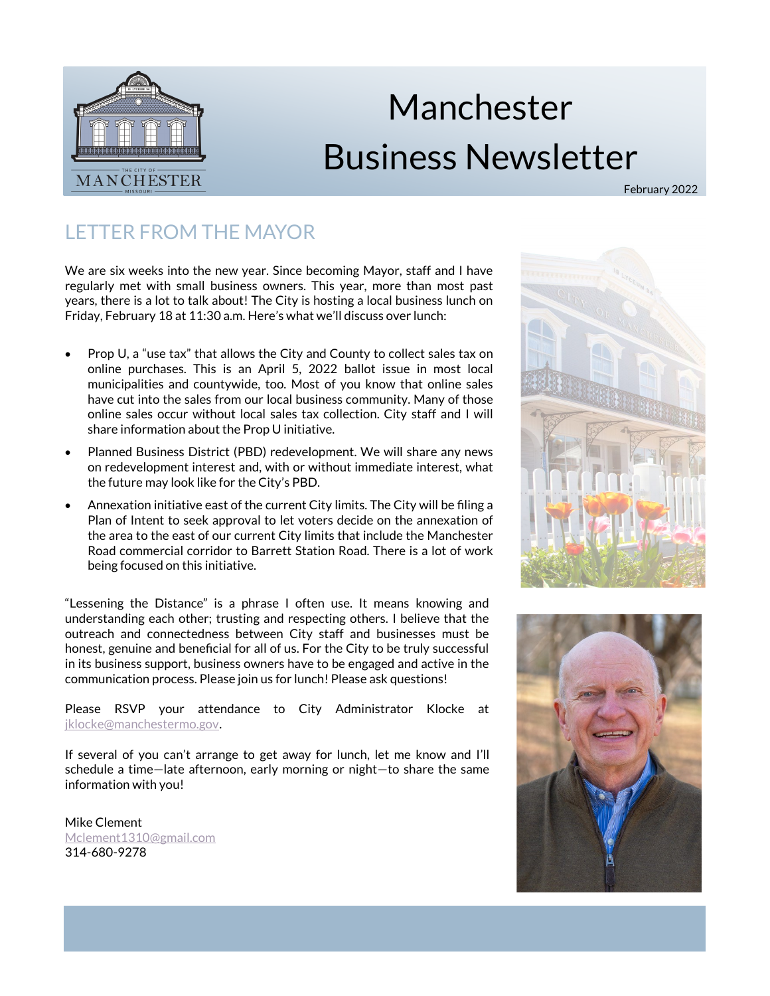

# Manchester Business Newsletter

February 2022

# LETTER FROM THE MAYOR

We are six weeks into the new year. Since becoming Mayor, staff and I have regularly met with small business owners. This year, more than most past years, there is a lot to talk about! The City is hosting a local business lunch on Friday, February 18 at 11:30 a.m. Here's what we'll discuss over lunch:

- Prop U, a "use tax" that allows the City and County to collect sales tax on online purchases. This is an April 5, 2022 ballot issue in most local municipalities and countywide, too. Most of you know that online sales have cut into the sales from our local business community. Many of those online sales occur without local sales tax collection. City staff and I will share information about the Prop U initiative.
- Planned Business District (PBD) redevelopment. We will share any news on redevelopment interest and, with or without immediate interest, what the future may look like for the City's PBD.
- Annexation initiative east of the current City limits. The City will be filing a Plan of Intent to seek approval to let voters decide on the annexation of the area to the east of our current City limits that include the Manchester Road commercial corridor to Barrett Station Road. There is a lot of work being focused on this initiative.

"Lessening the Distance" is a phrase I often use. It means knowing and understanding each other; trusting and respecting others. I believe that the outreach and connectedness between City staff and businesses must be honest, genuine and beneficial for all of us. For the City to be truly successful in its business support, business owners have to be engaged and active in the communication process. Please join us for lunch! Please ask questions!

Please RSVP your attendance to City Administrator Klocke at [jklocke@manchestermo.gov.](mailto:jklocke@manchestermo.gov)

If several of you can't arrange to get away for lunch, let me know and I'll schedule a time—late afternoon, early morning or night—to share the same information with you!

Mike Clement [Mclement1310@gmail.com](mailto:mclement1310@gmail.com) 314-680-9278



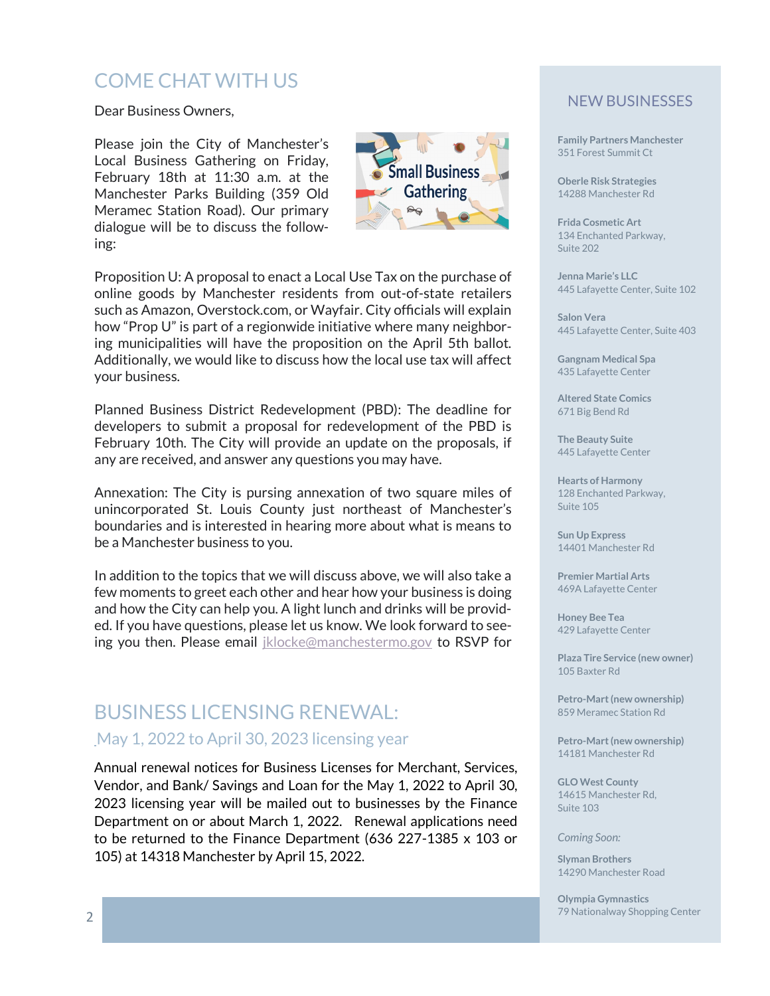# COME CHAT WITH US

Dear Business Owners,

Please join the City of Manchester's Local Business Gathering on Friday, February 18th at 11:30 a.m. at the Manchester Parks Building (359 Old Meramec Station Road). Our primary dialogue will be to discuss the following:



Proposition U: A proposal to enact a Local Use Tax on the purchase of online goods by Manchester residents from out-of-state retailers such as Amazon, Overstock.com, or Wayfair. City officials will explain how "Prop U" is part of a regionwide initiative where many neighboring municipalities will have the proposition on the April 5th ballot. Additionally, we would like to discuss how the local use tax will affect your business.

Planned Business District Redevelopment (PBD): The deadline for developers to submit a proposal for redevelopment of the PBD is February 10th. The City will provide an update on the proposals, if any are received, and answer any questions you may have.

Annexation: The City is pursing annexation of two square miles of unincorporated St. Louis County just northeast of Manchester's boundaries and is interested in hearing more about what is means to be a Manchester business to you.

In addition to the topics that we will discuss above, we will also take a few moments to greet each other and hear how your business is doing and how the City can help you. A light lunch and drinks will be provided. If you have questions, please let us know. We look forward to seeing you then. Please email *[jklocke@manchestermo.gov](mailto:jklocke@manchestermo.gov)* to RSVP for

# BUSINESS LICENSING RENEWAL: May 1, 2022 to April 30, 2023 licensing year

Annual renewal notices for Business Licenses for Merchant, Services, Vendor, and Bank/ Savings and Loan for the May 1, 2022 to April 30, 2023 licensing year will be mailed out to businesses by the Finance Department on or about March 1, 2022. Renewal applications need to be returned to the Finance Department (636 227-1385 x 103 or 105) at 14318 Manchester by April 15, 2022.

## NEW BUSINESSES

**Family Partners Manchester** 351 Forest Summit Ct

**Oberle Risk Strategies** 14288 Manchester Rd

**Frida Cosmetic Art** 134 Enchanted Parkway, Suite 202

**Jenna Marie's LLC** 445 Lafayette Center, Suite 102

**Salon Vera** 445 Lafayette Center, Suite 403

**Gangnam Medical Spa** 435 Lafayette Center

**Altered State Comics** 671 Big Bend Rd

**The Beauty Suite** 445 Lafayette Center

**Hearts of Harmony** 128 Enchanted Parkway, Suite 105

**Sun Up Express** 14401 Manchester Rd

**Premier Martial Arts** 469A Lafayette Center

**Honey Bee Tea** 429 Lafayette Center

**Plaza Tire Service (new owner)** 105 Baxter Rd

**Petro-Mart (new ownership)** 859 Meramec Station Rd

**Petro-Mart (new ownership)** 14181 Manchester Rd

**GLO West County** 14615 Manchester Rd, Suite 103

*Coming Soon:*

**Slyman Brothers** 14290 Manchester Road

**Olympia Gymnastics** 79 Nationalway Shopping Center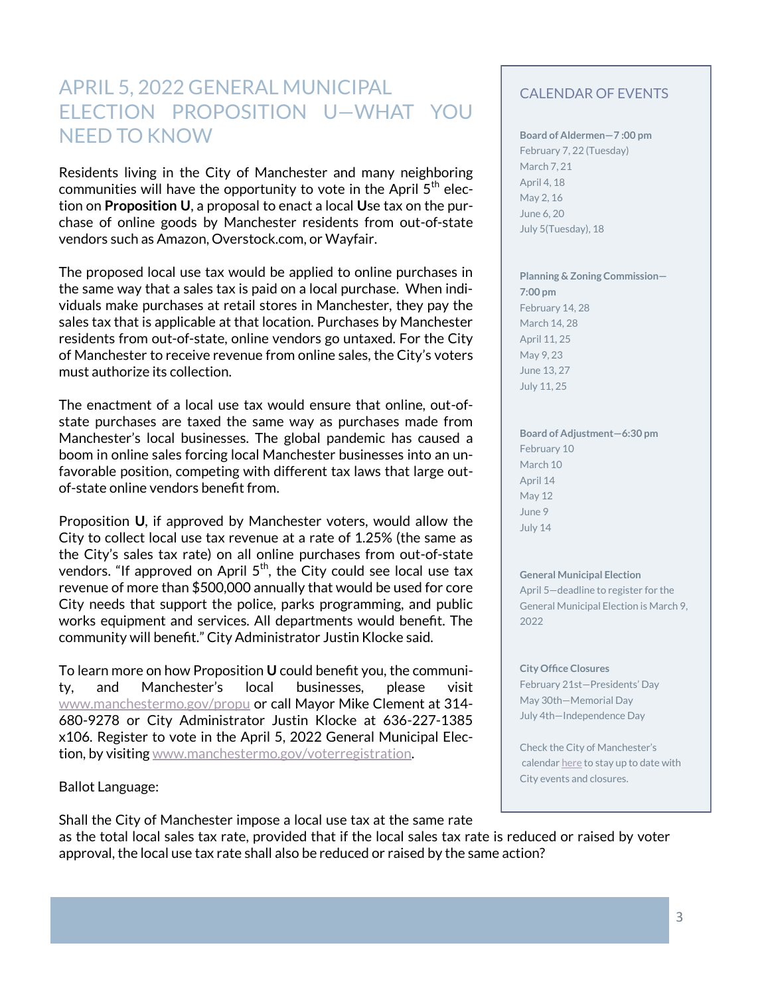# APRIL 5, 2022 GENERAL MUNICIPAL ELECTION PROPOSITION U—WHAT YOU NEED TO KNOW

Residents living in the City of Manchester and many neighboring communities will have the opportunity to vote in the April  $5<sup>th</sup>$  election on **Proposition U**, a proposal to enact a local **U**se tax on the purchase of online goods by Manchester residents from out-of-state vendors such as Amazon, Overstock.com, or Wayfair.

The proposed local use tax would be applied to online purchases in the same way that a sales tax is paid on a local purchase. When individuals make purchases at retail stores in Manchester, they pay the sales tax that is applicable at that location. Purchases by Manchester residents from out-of-state, online vendors go untaxed. For the City of Manchester to receive revenue from online sales, the City's voters must authorize its collection.

The enactment of a local use tax would ensure that online, out-ofstate purchases are taxed the same way as purchases made from Manchester's local businesses. The global pandemic has caused a boom in online sales forcing local Manchester businesses into an unfavorable position, competing with different tax laws that large outof-state online vendors benefit from.

Proposition **U**, if approved by Manchester voters, would allow the City to collect local use tax revenue at a rate of 1.25% (the same as the City's sales tax rate) on all online purchases from out-of-state vendors. "If approved on April  $5<sup>th</sup>$ , the City could see local use tax revenue of more than \$500,000 annually that would be used for core City needs that support the police, parks programming, and public works equipment and services. All departments would benefit. The community will benefit." City Administrator Justin Klocke said.

To learn more on how Proposition **U** could benefit you, the community, and Manchester's local businesses, please visit [www.manchestermo.gov/propu](http://www.manchestermo.gov/propu) or call Mayor Mike Clement at 314- 680-9278 or City Administrator Justin Klocke at 636-227-1385 x106. Register to vote in the April 5, 2022 General Municipal Election, by visiting www.manchestermo.gov/voterregistration.

Ballot Language:

## CALENDAR OF EVENTS

**Board of Aldermen—7 :00 pm** February 7, 22 (Tuesday) March 7, 21 April 4, 18 May 2, 16 June 6, 20 July 5(Tuesday), 18

## **Planning & Zoning Commission—**

**7:00 pm** February 14, 28 March 14, 28 April 11, 25 May 9, 23 June 13, 27 July 11, 25

## **Board of Adjustment—6:30 pm**

February 10 March 10 April 14 May 12 June 9 July 14

### **General Municipal Election**

April 5—deadline to register for the General Municipal Election is March 9, 2022

### **City Office Closures**

February 21st—Presidents' Day May 30th—Memorial Day July 4th—Independence Day

Check the City of Manchester's calendar [here](http://www.manchestermo.gov/calendar.aspx?CID=14,22,24,25,26,27) to stay up to date with City events and closures.

Shall the City of Manchester impose a local use tax at the same rate as the total local sales tax rate, provided that if the local sales tax rate is reduced or raised by voter approval, the local use tax rate shall also be reduced or raised by the same action?